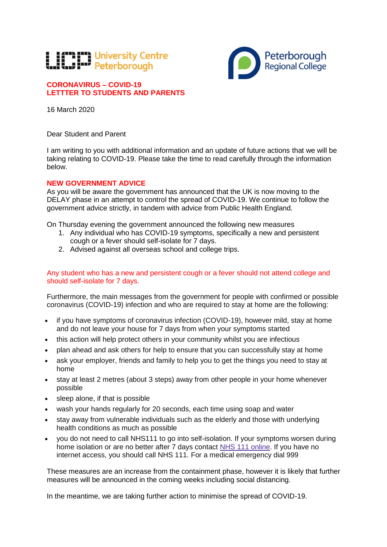# **TEMPT University Centre**<br>Was to the Peterborough



## **CORONAVIRUS – COVID-19 LETTTER TO STUDENTS AND PARENTS**

16 March 2020

Dear Student and Parent

I am writing to you with additional information and an update of future actions that we will be taking relating to COVID-19. Please take the time to read carefully through the information below.

### **NEW GOVERNMENT ADVICE**

As you will be aware the government has announced that the UK is now moving to the DELAY phase in an attempt to control the spread of COVID-19. We continue to follow the government advice strictly, in tandem with advice from Public Health England.

On Thursday evening the government announced the following new measures

- 1. Any individual who has COVID-19 symptoms, specifically a new and persistent cough or a fever should self-isolate for 7 days.
- 2. Advised against all overseas school and college trips.

Any student who has a new and persistent cough or a fever should not attend college and should self-isolate for 7 days.

Furthermore, the main messages from the government for people with confirmed or possible coronavirus (COVID-19) infection and who are required to stay at home are the following:

- if you have symptoms of coronavirus infection (COVID-19), however mild, stay at home and do not leave your house for 7 days from when your symptoms started
- this action will help protect others in your community whilst you are infectious
- plan ahead and ask others for help to ensure that you can successfully stay at home
- ask your employer, friends and family to help you to get the things you need to stay at home
- stay at least 2 metres (about 3 steps) away from other people in your home whenever possible
- sleep alone, if that is possible
- wash your hands regularly for 20 seconds, each time using soap and water
- stay away from vulnerable individuals such as the elderly and those with underlying health conditions as much as possible
- you do not need to call NHS111 to go into self-isolation. If your symptoms worsen during home isolation or are no better after 7 days contact [NHS 111 online.](https://111.nhs.uk/) If you have no internet access, you should call NHS 111. For a medical emergency dial 999

These measures are an increase from the containment phase, however it is likely that further measures will be announced in the coming weeks including social distancing.

In the meantime, we are taking further action to minimise the spread of COVID-19.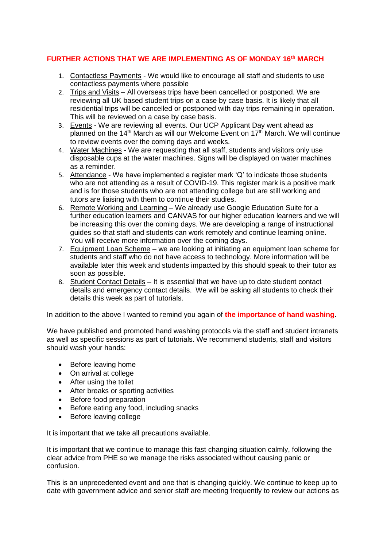### **FURTHER ACTIONS THAT WE ARE IMPLEMENTING AS OF MONDAY 16th MARCH**

- 1. Contactless Payments We would like to encourage all staff and students to use contactless payments where possible
- 2. Trips and Visits All overseas trips have been cancelled or postponed. We are reviewing all UK based student trips on a case by case basis. It is likely that all residential trips will be cancelled or postponed with day trips remaining in operation. This will be reviewed on a case by case basis.
- 3. Events We are reviewing all events. Our UCP Applicant Day went ahead as planned on the  $14<sup>th</sup>$  March as will our Welcome Event on  $17<sup>th</sup>$  March. We will continue to review events over the coming days and weeks.
- 4. Water Machines We are requesting that all staff, students and visitors only use disposable cups at the water machines. Signs will be displayed on water machines as a reminder.
- 5. Attendance We have implemented a register mark 'Q' to indicate those students who are not attending as a result of COVID-19. This register mark is a positive mark and is for those students who are not attending college but are still working and tutors are liaising with them to continue their studies.
- 6. Remote Working and Learning We already use Google Education Suite for a further education learners and CANVAS for our higher education learners and we will be increasing this over the coming days. We are developing a range of instructional guides so that staff and students can work remotely and continue learning online. You will receive more information over the coming days.
- 7. Equipment Loan Scheme we are looking at initiating an equipment loan scheme for students and staff who do not have access to technology. More information will be available later this week and students impacted by this should speak to their tutor as soon as possible.
- 8. Student Contact Details It is essential that we have up to date student contact details and emergency contact details. We will be asking all students to check their details this week as part of tutorials.

In addition to the above I wanted to remind you again of **the importance of hand washing**.

We have published and promoted hand washing protocols via the staff and student intranets as well as specific sessions as part of tutorials. We recommend students, staff and visitors should wash your hands:

- Before leaving home
- On arrival at college
- After using the toilet
- After breaks or sporting activities
- Before food preparation
- Before eating any food, including snacks
- Before leaving college

It is important that we take all precautions available.

It is important that we continue to manage this fast changing situation calmly, following the clear advice from PHE so we manage the risks associated without causing panic or confusion.

This is an unprecedented event and one that is changing quickly. We continue to keep up to date with government advice and senior staff are meeting frequently to review our actions as